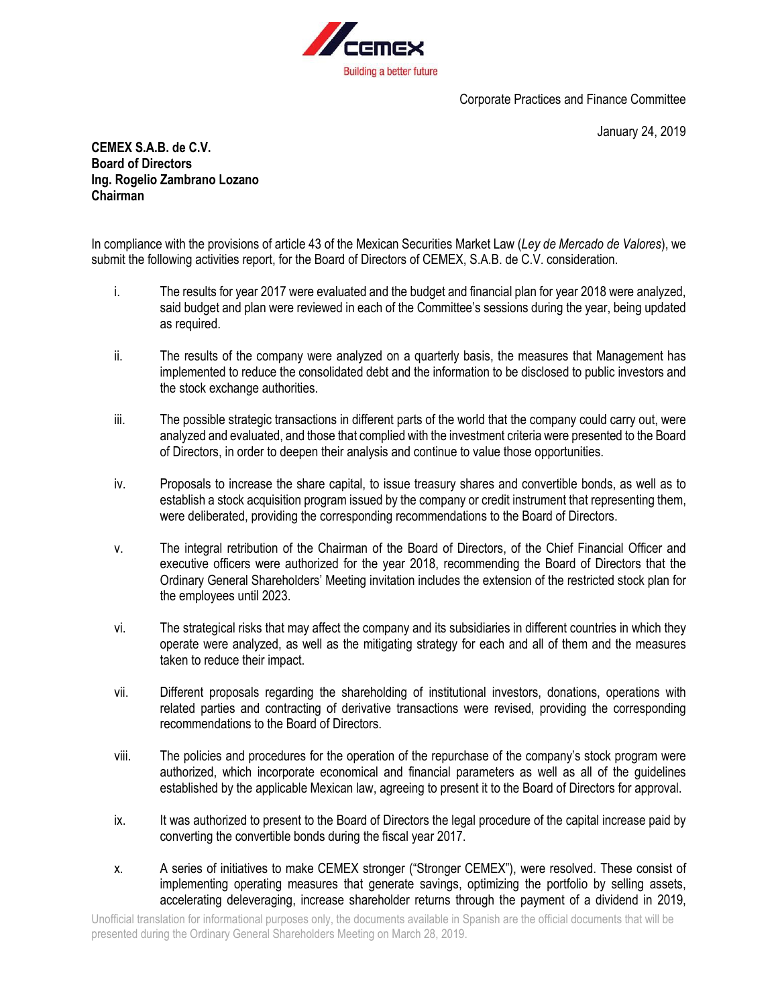

Corporate Practices and Finance Committee

January 24, 2019

**CEMEX S.A.B. de C.V. Board of Directors Ing. Rogelio Zambrano Lozano Chairman**

In compliance with the provisions of article 43 of the Mexican Securities Market Law (*Ley de Mercado de Valores*), we submit the following activities report, for the Board of Directors of CEMEX, S.A.B. de C.V. consideration.

- i. The results for year 2017 were evaluated and the budget and financial plan for year 2018 were analyzed, said budget and plan were reviewed in each of the Committee's sessions during the year, being updated as required.
- ii. The results of the company were analyzed on a quarterly basis, the measures that Management has implemented to reduce the consolidated debt and the information to be disclosed to public investors and the stock exchange authorities.
- iii. The possible strategic transactions in different parts of the world that the company could carry out, were analyzed and evaluated, and those that complied with the investment criteria were presented to the Board of Directors, in order to deepen their analysis and continue to value those opportunities.
- iv. Proposals to increase the share capital, to issue treasury shares and convertible bonds, as well as to establish a stock acquisition program issued by the company or credit instrument that representing them, were deliberated, providing the corresponding recommendations to the Board of Directors.
- v. The integral retribution of the Chairman of the Board of Directors, of the Chief Financial Officer and executive officers were authorized for the year 2018, recommending the Board of Directors that the Ordinary General Shareholders' Meeting invitation includes the extension of the restricted stock plan for the employees until 2023.
- vi. The strategical risks that may affect the company and its subsidiaries in different countries in which they operate were analyzed, as well as the mitigating strategy for each and all of them and the measures taken to reduce their impact.
- vii. Different proposals regarding the shareholding of institutional investors, donations, operations with related parties and contracting of derivative transactions were revised, providing the corresponding recommendations to the Board of Directors.
- viii. The policies and procedures for the operation of the repurchase of the company's stock program were authorized, which incorporate economical and financial parameters as well as all of the guidelines established by the applicable Mexican law, agreeing to present it to the Board of Directors for approval.
- ix. It was authorized to present to the Board of Directors the legal procedure of the capital increase paid by converting the convertible bonds during the fiscal year 2017.
- x. A series of initiatives to make CEMEX stronger ("Stronger CEMEX"), were resolved. These consist of implementing operating measures that generate savings, optimizing the portfolio by selling assets, accelerating deleveraging, increase shareholder returns through the payment of a dividend in 2019,